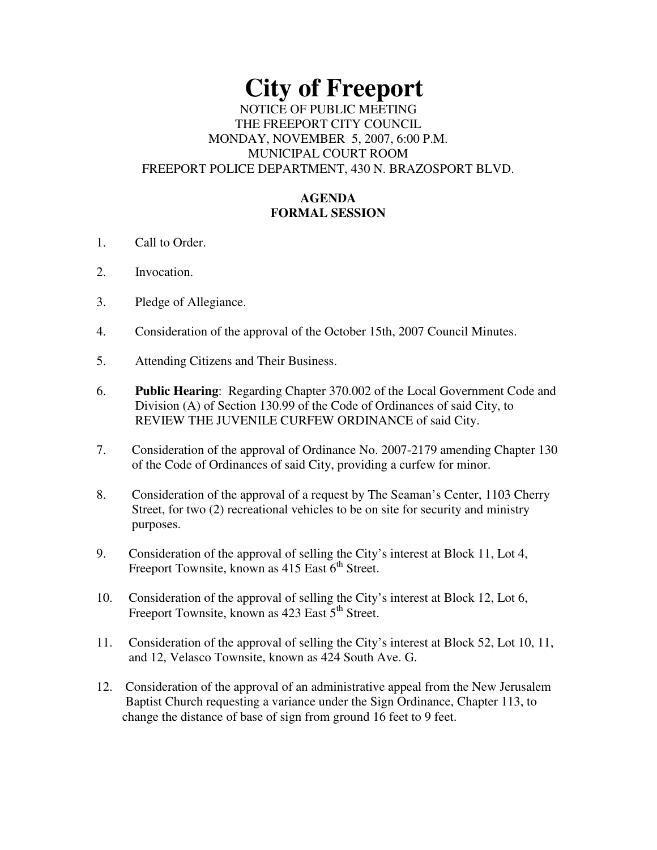# **City of Freeport**  NOTICE OF PUBLIC MEETING THE FREEPORT CITY COUNCIL

#### MONDAY, NOVEMBER 5, 2007, 6:00 P.M. MUNICIPAL COURT ROOM FREEPORT POLICE DEPARTMENT, 430 N. BRAZOSPORT BLVD.

## **AGENDA FORMAL SESSION**

- 1. Call to Order.
- 2. Invocation.
- 3. Pledge of Allegiance.
- 4. Consideration of the approval of the October 15th, 2007 Council Minutes.
- 5. Attending Citizens and Their Business.
- 6. **Public Hearing**: Regarding Chapter 370.002 of the Local Government Code and Division (A) of Section 130.99 of the Code of Ordinances of said City, to REVIEW THE JUVENILE CURFEW ORDINANCE of said City.
- 7. Consideration of the approval of Ordinance No. 2007-2179 amending Chapter 130 of the Code of Ordinances of said City, providing a curfew for minor.
- 8. Consideration of the approval of a request by The Seaman's Center, 1103 Cherry Street, for two (2) recreational vehicles to be on site for security and ministry purposes.
- 9. Consideration of the approval of selling the City's interest at Block 11, Lot 4, Freeport Townsite, known as  $415$  East  $6<sup>th</sup>$  Street.
- 10. Consideration of the approval of selling the City's interest at Block 12, Lot 6, Freeport Townsite, known as 423 East 5<sup>th</sup> Street.
- 11. Consideration of the approval of selling the City's interest at Block 52, Lot 10, 11, and 12, Velasco Townsite, known as 424 South Ave. G.
- 12. Consideration of the approval of an administrative appeal from the New Jerusalem Baptist Church requesting a variance under the Sign Ordinance, Chapter 113, to change the distance of base of sign from ground 16 feet to 9 feet.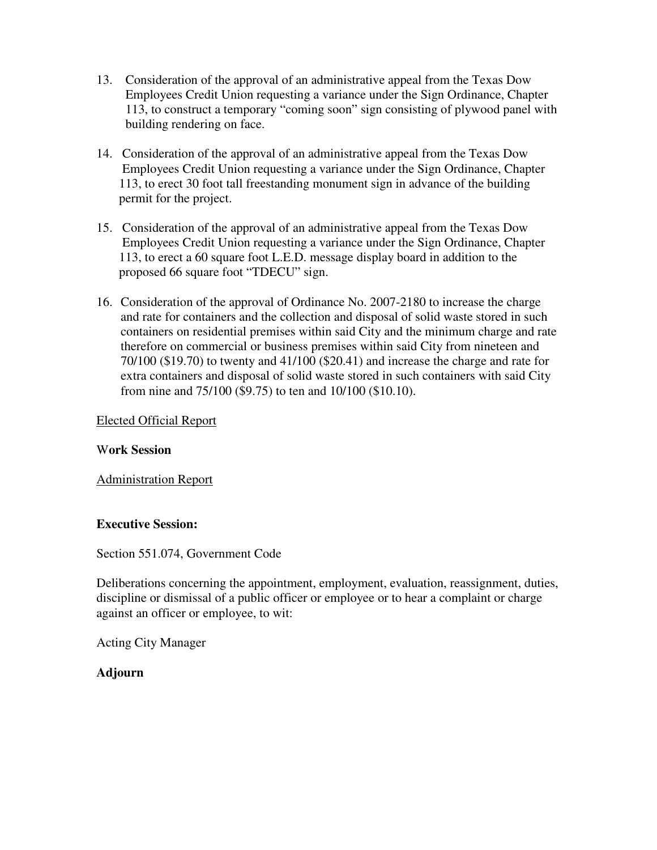- 13. Consideration of the approval of an administrative appeal from the Texas Dow Employees Credit Union requesting a variance under the Sign Ordinance, Chapter 113, to construct a temporary "coming soon" sign consisting of plywood panel with building rendering on face.
- 14. Consideration of the approval of an administrative appeal from the Texas Dow Employees Credit Union requesting a variance under the Sign Ordinance, Chapter 113, to erect 30 foot tall freestanding monument sign in advance of the building permit for the project.
- 15. Consideration of the approval of an administrative appeal from the Texas Dow Employees Credit Union requesting a variance under the Sign Ordinance, Chapter 113, to erect a 60 square foot L.E.D. message display board in addition to the proposed 66 square foot "TDECU" sign.
- 16. Consideration of the approval of Ordinance No. 2007-2180 to increase the charge and rate for containers and the collection and disposal of solid waste stored in such containers on residential premises within said City and the minimum charge and rate therefore on commercial or business premises within said City from nineteen and 70/100 (\$19.70) to twenty and 41/100 (\$20.41) and increase the charge and rate for extra containers and disposal of solid waste stored in such containers with said City from nine and 75/100 (\$9.75) to ten and 10/100 (\$10.10).

### Elected Official Report

### W**ork Session**

Administration Report

### **Executive Session:**

Section 551.074, Government Code

Deliberations concerning the appointment, employment, evaluation, reassignment, duties, discipline or dismissal of a public officer or employee or to hear a complaint or charge against an officer or employee, to wit:

Acting City Manager

### **Adjourn**